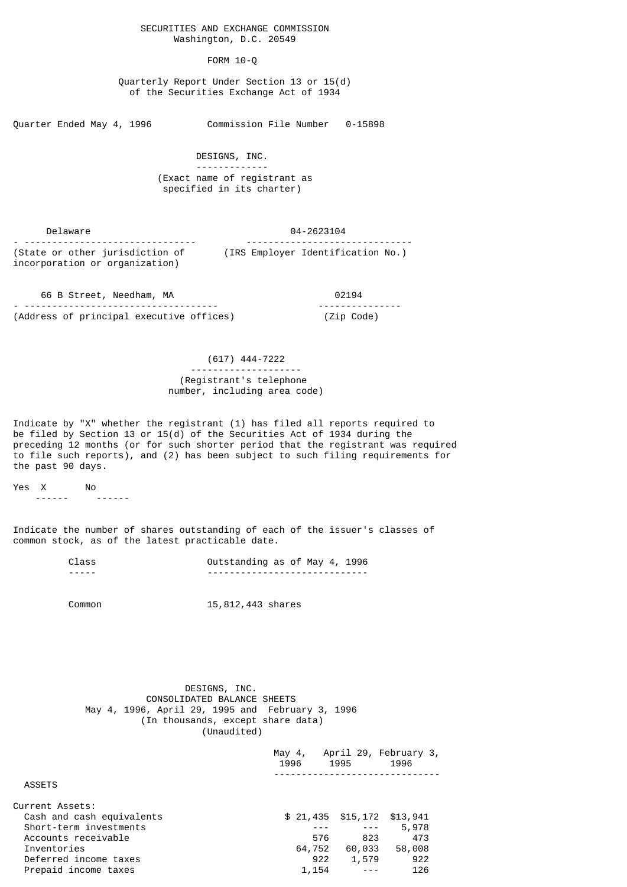### SECURITIES AND EXCHANGE COMMISSION Washington, D.C. 20549

#### FORM 10-Q

 Quarterly Report Under Section 13 or 15(d) of the Securities Exchange Act of 1934

Quarter Ended May 4, 1996 Commission File Number 0-15898

 DESIGNS, INC. ------------- (Exact name of registrant as specified in its charter)

 Delaware 04-2623104 - ------------------------------- ------------------------------ (State or other jurisdiction of (IRS Employer Identification No.) incorporation or organization)

 66 B Street, Needham, MA 02194 - ----------------------------------- --------------- (Address of principal executive offices) (Zip Code)

### (617) 444-7222

#### -------------------- (Registrant's telephone number, including area code)

Indicate by "X" whether the registrant (1) has filed all reports required to be filed by Section 13 or 15(d) of the Securities Act of 1934 during the preceding 12 months (or for such shorter period that the registrant was required to file such reports), and (2) has been subject to such filing requirements for the past 90 days.

Yes X No

------ ------

Indicate the number of shares outstanding of each of the issuer's classes of common stock, as of the latest practicable date.

| Class | Outstanding as of May 4, 1996  |  |
|-------|--------------------------------|--|
| ----- | ------------------------------ |  |

Common 15,812,443 shares

 DESIGNS, INC. CONSOLIDATED BALANCE SHEETS May 4, 1996, April 29, 1995 and February 3, 1996 (In thousands, except share data) (Unaudited)

| May $4$ ,<br>1996 | 1995 | April 29, February 3,<br>1996                                                           |
|-------------------|------|-----------------------------------------------------------------------------------------|
|                   |      |                                                                                         |
|                   |      |                                                                                         |
|                   |      | \$13,941                                                                                |
|                   |      | 5,978                                                                                   |
|                   |      | 473                                                                                     |
|                   |      | 58,008                                                                                  |
|                   |      | 922                                                                                     |
|                   |      | 126                                                                                     |
|                   |      | \$21,435 \$15,172<br>$- - -$<br>576<br>823<br>64,752<br>60,033<br>1,579<br>922<br>1,154 |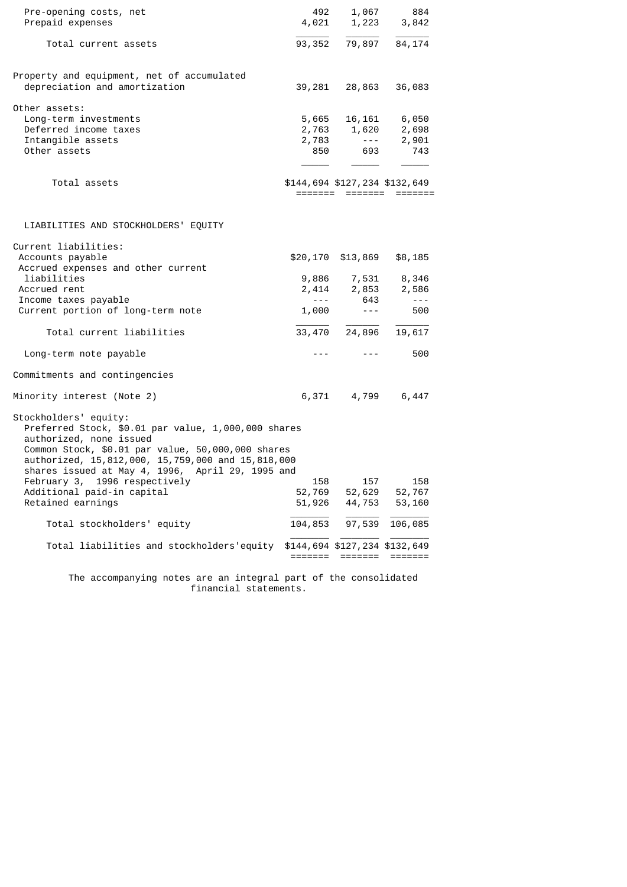| Pre-opening costs, net<br>Prepaid expenses                                                                                                                                                                        | 492                         |                                          | 1,067 884<br>4,021 1,223 3,842 |
|-------------------------------------------------------------------------------------------------------------------------------------------------------------------------------------------------------------------|-----------------------------|------------------------------------------|--------------------------------|
| Total current assets                                                                                                                                                                                              |                             |                                          | 93, 352 79, 897 84, 174        |
| Property and equipment, net of accumulated<br>depreciation and amortization                                                                                                                                       |                             | 39,281 28,863                            | 36,083                         |
| Other assets:                                                                                                                                                                                                     |                             |                                          |                                |
| Long-term investments                                                                                                                                                                                             |                             |                                          | 5,665 16,161 6,050             |
| Deferred income taxes                                                                                                                                                                                             |                             |                                          | 2,763 1,620 2,698              |
| Intangible assets                                                                                                                                                                                                 | 2,783                       | $- - - -$                                | 2,901                          |
| Other assets                                                                                                                                                                                                      |                             | 850 693                                  | 743                            |
| Total assets                                                                                                                                                                                                      |                             |                                          | \$144,694 \$127,234 \$132,649  |
|                                                                                                                                                                                                                   |                             |                                          | =========================      |
| LIABILITIES AND STOCKHOLDERS' EQUITY                                                                                                                                                                              |                             |                                          |                                |
| Current liabilities:                                                                                                                                                                                              |                             |                                          |                                |
| Accounts payable                                                                                                                                                                                                  | \$20,170                    | \$13,869                                 | \$8,185                        |
| Accrued expenses and other current                                                                                                                                                                                |                             |                                          |                                |
| liabilities                                                                                                                                                                                                       |                             |                                          | 9,886 7,531 8,346              |
| Accrued rent                                                                                                                                                                                                      |                             |                                          | $2,414$ $2,853$ $2,586$        |
| Income taxes payable                                                                                                                                                                                              | $\sim$ $\sim$ $\sim$ $\sim$ | 643                                      | $- - -$                        |
| Current portion of long-term note                                                                                                                                                                                 | 1,000                       | $- - -$                                  | 500                            |
| Total current liabilities                                                                                                                                                                                         | 33,470                      | 24,896                                   | 19,617                         |
| Long-term note payable                                                                                                                                                                                            | <b>---</b> - -              | $- - -$                                  | 500                            |
| Commitments and contingencies                                                                                                                                                                                     |                             |                                          |                                |
| Minority interest (Note 2)                                                                                                                                                                                        |                             | 6,371 4,799                              | 6,447                          |
| Stockholders' equity:<br>Preferred Stock, \$0.01 par value, 1,000,000 shares<br>authorized, none issued<br>Common Stock, \$0.01 par value, 50,000,000 shares<br>authorized, 15,812,000, 15,759,000 and 15,818,000 |                             |                                          |                                |
| shares issued at May 4, 1996, April 29, 1995 and                                                                                                                                                                  |                             |                                          |                                |
| February 3, 1996 respectively                                                                                                                                                                                     | 158                         | 157                                      | 158                            |
| Additional paid-in capital<br>Retained earnings                                                                                                                                                                   | 52,769<br>51,926            | 52,629<br>44,753                         | 52,767<br>53,160               |
|                                                                                                                                                                                                                   |                             |                                          |                                |
| Total stockholders' equity                                                                                                                                                                                        | 104,853                     | 97,539                                   | 106,085                        |
| Total liabilities and stockholders'equity                                                                                                                                                                         |                             | \$144,694 \$127,234 \$132,649<br>======= |                                |
|                                                                                                                                                                                                                   |                             |                                          |                                |

 The accompanying notes are an integral part of the consolidated financial statements.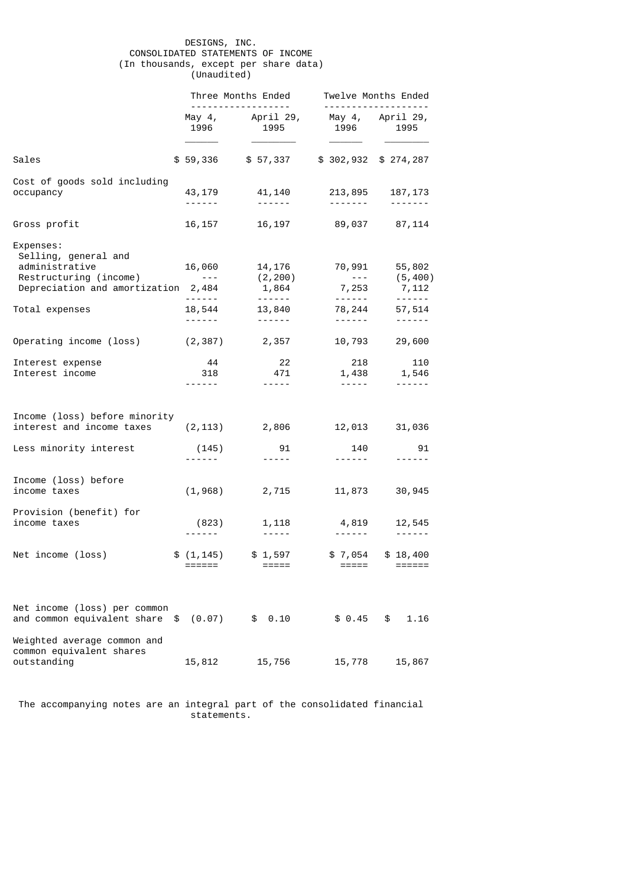## DESIGNS, INC. CONSOLIDATED STATEMENTS OF INCOME (In thousands, except per share data) (Unaudited)

|                                                                                                                      |                                                                                                                                                                                                                                                                                                                                                                                                                                                          | Three Months Ended<br>----------------                                                                                                                                                                                                                                                                                                                                                                                                                                                                    |                                                                                                                                                             | Twelve Months Ended<br><u>.</u>                                                                                                                                                                                                                                                                                                                                                                                                                                                                           |
|----------------------------------------------------------------------------------------------------------------------|----------------------------------------------------------------------------------------------------------------------------------------------------------------------------------------------------------------------------------------------------------------------------------------------------------------------------------------------------------------------------------------------------------------------------------------------------------|-----------------------------------------------------------------------------------------------------------------------------------------------------------------------------------------------------------------------------------------------------------------------------------------------------------------------------------------------------------------------------------------------------------------------------------------------------------------------------------------------------------|-------------------------------------------------------------------------------------------------------------------------------------------------------------|-----------------------------------------------------------------------------------------------------------------------------------------------------------------------------------------------------------------------------------------------------------------------------------------------------------------------------------------------------------------------------------------------------------------------------------------------------------------------------------------------------------|
|                                                                                                                      |                                                                                                                                                                                                                                                                                                                                                                                                                                                          | May 4, April 29, May 4, April 29,<br>1996 1997<br>1995                                                                                                                                                                                                                                                                                                                                                                                                                                                    | 1996 1997                                                                                                                                                   | 1995                                                                                                                                                                                                                                                                                                                                                                                                                                                                                                      |
| Sales                                                                                                                |                                                                                                                                                                                                                                                                                                                                                                                                                                                          | \$59,336 \$57,337                                                                                                                                                                                                                                                                                                                                                                                                                                                                                         | \$302,932 \$274,287                                                                                                                                         |                                                                                                                                                                                                                                                                                                                                                                                                                                                                                                           |
| Cost of goods sold including<br>occupancy                                                                            | ------                                                                                                                                                                                                                                                                                                                                                                                                                                                   | 43, 179 41, 140<br>$\begin{array}{cccccccccccccc} \multicolumn{2}{c}{} & \multicolumn{2}{c}{} & \multicolumn{2}{c}{} & \multicolumn{2}{c}{} & \multicolumn{2}{c}{} & \multicolumn{2}{c}{} & \multicolumn{2}{c}{} & \multicolumn{2}{c}{} & \multicolumn{2}{c}{} & \multicolumn{2}{c}{} & \multicolumn{2}{c}{} & \multicolumn{2}{c}{} & \multicolumn{2}{c}{} & \multicolumn{2}{c}{} & \multicolumn{2}{c}{} & \multicolumn{2}{c}{} & \multicolumn{2}{c}{} & \multicolumn{2}{c}{} & \multicolumn{2}{c}{} & \$ | --------                                                                                                                                                    | 213,895 187,173<br>$\begin{array}{cccccccccccccc} \multicolumn{2}{c}{} & \multicolumn{2}{c}{} & \multicolumn{2}{c}{} & \multicolumn{2}{c}{} & \multicolumn{2}{c}{} & \multicolumn{2}{c}{} & \multicolumn{2}{c}{} & \multicolumn{2}{c}{} & \multicolumn{2}{c}{} & \multicolumn{2}{c}{} & \multicolumn{2}{c}{} & \multicolumn{2}{c}{} & \multicolumn{2}{c}{} & \multicolumn{2}{c}{} & \multicolumn{2}{c}{} & \multicolumn{2}{c}{} & \multicolumn{2}{c}{} & \multicolumn{2}{c}{} & \multicolumn{2}{c}{} & \$ |
| Gross profit                                                                                                         | 16,157                                                                                                                                                                                                                                                                                                                                                                                                                                                   | 16,197                                                                                                                                                                                                                                                                                                                                                                                                                                                                                                    | 89,037 87,114                                                                                                                                               |                                                                                                                                                                                                                                                                                                                                                                                                                                                                                                           |
| Expenses:<br>Selling, general and<br>administrative<br>Restructuring (income)<br>Depreciation and amortization 2,484 | 16,060<br>$\mathcal{L}^{\mathcal{A}}\mathcal{A}^{\mathcal{B}}\mathcal{A}^{\mathcal{B}}\mathcal{A}^{\mathcal{B}}\mathcal{A}^{\mathcal{B}}\mathcal{A}^{\mathcal{B}}\mathcal{A}^{\mathcal{B}}\mathcal{A}^{\mathcal{B}}\mathcal{A}^{\mathcal{B}}\mathcal{A}^{\mathcal{B}}\mathcal{A}^{\mathcal{B}}\mathcal{A}^{\mathcal{B}}\mathcal{A}^{\mathcal{B}}\mathcal{A}^{\mathcal{B}}\mathcal{A}^{\mathcal{B}}\mathcal{A}^{\mathcal{B}}\mathcal{A}^{\mathcal{B$<br>. | 14,176<br>(2, 200)<br>1,864                                                                                                                                                                                                                                                                                                                                                                                                                                                                               | 70,991<br>$\sim$ 100 $\pm$<br>7,253                                                                                                                         | 55,802<br>(5, 400)<br>7,112                                                                                                                                                                                                                                                                                                                                                                                                                                                                               |
| Total expenses                                                                                                       | 18,544                                                                                                                                                                                                                                                                                                                                                                                                                                                   | 13,840<br>. <b>.</b>                                                                                                                                                                                                                                                                                                                                                                                                                                                                                      | 78,244                                                                                                                                                      | 57,514                                                                                                                                                                                                                                                                                                                                                                                                                                                                                                    |
| Operating income (loss)                                                                                              |                                                                                                                                                                                                                                                                                                                                                                                                                                                          | $(2,387)$ 2,357                                                                                                                                                                                                                                                                                                                                                                                                                                                                                           | 10,793                                                                                                                                                      | 29,600                                                                                                                                                                                                                                                                                                                                                                                                                                                                                                    |
| Interest expense<br>Interest income                                                                                  | 44<br>318                                                                                                                                                                                                                                                                                                                                                                                                                                                | 22<br>471<br>$\frac{1}{2} \frac{1}{2} \frac{1}{2} \frac{1}{2} \frac{1}{2} \frac{1}{2} \frac{1}{2} \frac{1}{2}$                                                                                                                                                                                                                                                                                                                                                                                            | 218<br>$\frac{1}{2} \left( \frac{1}{2} \right) \left( \frac{1}{2} \right) \left( \frac{1}{2} \right) \left( \frac{1}{2} \right) \left( \frac{1}{2} \right)$ | 110<br>1,438 1,546<br>$\frac{1}{2} \left( \frac{1}{2} \right) \left( \frac{1}{2} \right) \left( \frac{1}{2} \right) \left( \frac{1}{2} \right) \left( \frac{1}{2} \right) \left( \frac{1}{2} \right) \left( \frac{1}{2} \right) \left( \frac{1}{2} \right) \left( \frac{1}{2} \right) \left( \frac{1}{2} \right) \left( \frac{1}{2} \right) \left( \frac{1}{2} \right) \left( \frac{1}{2} \right) \left( \frac{1}{2} \right) \left( \frac{1}{2} \right) \left( \frac{1}{2} \right) \left( \frac$          |
| Income (loss) before minority<br>interest and income taxes<br>Less minority interest                                 | (145)                                                                                                                                                                                                                                                                                                                                                                                                                                                    | $(2, 113)$ 2,806<br>91                                                                                                                                                                                                                                                                                                                                                                                                                                                                                    | 12,013<br>140                                                                                                                                               | 31,036<br>91                                                                                                                                                                                                                                                                                                                                                                                                                                                                                              |
|                                                                                                                      | $- - - - - -$                                                                                                                                                                                                                                                                                                                                                                                                                                            | $\frac{1}{2} \left( \frac{1}{2} \right) \left( \frac{1}{2} \right) \left( \frac{1}{2} \right) \left( \frac{1}{2} \right) \left( \frac{1}{2} \right) \left( \frac{1}{2} \right)$                                                                                                                                                                                                                                                                                                                           | ------                                                                                                                                                      | ------                                                                                                                                                                                                                                                                                                                                                                                                                                                                                                    |
| Income (loss) before<br>income taxes                                                                                 |                                                                                                                                                                                                                                                                                                                                                                                                                                                          | $(1,968)$ 2,715                                                                                                                                                                                                                                                                                                                                                                                                                                                                                           | 11,873                                                                                                                                                      | 30,945                                                                                                                                                                                                                                                                                                                                                                                                                                                                                                    |
| Provision (benefit) for<br>income taxes                                                                              | (823)                                                                                                                                                                                                                                                                                                                                                                                                                                                    | 1,118<br>$\frac{1}{2} \frac{1}{2} \frac{1}{2} \frac{1}{2} \frac{1}{2} \frac{1}{2} \frac{1}{2} \frac{1}{2} \frac{1}{2} \frac{1}{2}$                                                                                                                                                                                                                                                                                                                                                                        | 4,819<br>------                                                                                                                                             | 12,545                                                                                                                                                                                                                                                                                                                                                                                                                                                                                                    |
| Net income (loss)                                                                                                    | \$(1, 145)<br>======                                                                                                                                                                                                                                                                                                                                                                                                                                     | \$1,597<br>=====                                                                                                                                                                                                                                                                                                                                                                                                                                                                                          | \$7,054<br>=====                                                                                                                                            | \$18,400<br>======                                                                                                                                                                                                                                                                                                                                                                                                                                                                                        |
| Net income (loss) per common<br>and common equivalent share<br>\$<br>Weighted average common and                     | (0.07)                                                                                                                                                                                                                                                                                                                                                                                                                                                   | \$0.10                                                                                                                                                                                                                                                                                                                                                                                                                                                                                                    | \$0.45                                                                                                                                                      | \$<br>1.16                                                                                                                                                                                                                                                                                                                                                                                                                                                                                                |
| common equivalent shares<br>outstanding                                                                              | 15,812                                                                                                                                                                                                                                                                                                                                                                                                                                                   | 15,756                                                                                                                                                                                                                                                                                                                                                                                                                                                                                                    | 15,778                                                                                                                                                      | 15,867                                                                                                                                                                                                                                                                                                                                                                                                                                                                                                    |

 The accompanying notes are an integral part of the consolidated financial statements.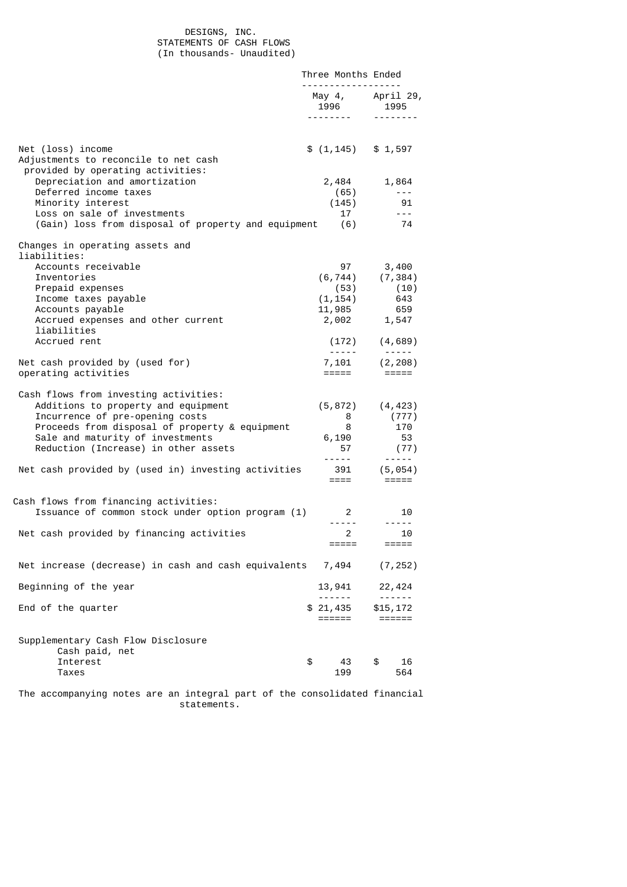## DESIGNS, INC. STATEMENTS OF CASH FLOWS (In thousands- Unaudited)

|                                                                                                                                                                                                                                               | Three Months Ended                                                                                                                                                                                                                                                                                                                                                                                                                                                         |                                                                                                                                                                                                                                                                                                                                                                                                                                                                                        |
|-----------------------------------------------------------------------------------------------------------------------------------------------------------------------------------------------------------------------------------------------|----------------------------------------------------------------------------------------------------------------------------------------------------------------------------------------------------------------------------------------------------------------------------------------------------------------------------------------------------------------------------------------------------------------------------------------------------------------------------|----------------------------------------------------------------------------------------------------------------------------------------------------------------------------------------------------------------------------------------------------------------------------------------------------------------------------------------------------------------------------------------------------------------------------------------------------------------------------------------|
|                                                                                                                                                                                                                                               | <u>.</u><br>1996                                                                                                                                                                                                                                                                                                                                                                                                                                                           | May $4,$ April 29,<br>1995                                                                                                                                                                                                                                                                                                                                                                                                                                                             |
|                                                                                                                                                                                                                                               |                                                                                                                                                                                                                                                                                                                                                                                                                                                                            |                                                                                                                                                                                                                                                                                                                                                                                                                                                                                        |
| Net (loss) income<br>Adjustments to reconcile to net cash<br>provided by operating activities:                                                                                                                                                | $$(1, 145)$ $$1, 597$                                                                                                                                                                                                                                                                                                                                                                                                                                                      |                                                                                                                                                                                                                                                                                                                                                                                                                                                                                        |
| Depreciation and amortization                                                                                                                                                                                                                 |                                                                                                                                                                                                                                                                                                                                                                                                                                                                            | 2,484 1,864                                                                                                                                                                                                                                                                                                                                                                                                                                                                            |
| Deferred income taxes                                                                                                                                                                                                                         | (65)                                                                                                                                                                                                                                                                                                                                                                                                                                                                       | $\sim$ $\sim$ $\sim$ $\sim$                                                                                                                                                                                                                                                                                                                                                                                                                                                            |
| Minority interest                                                                                                                                                                                                                             | (145)                                                                                                                                                                                                                                                                                                                                                                                                                                                                      | 91                                                                                                                                                                                                                                                                                                                                                                                                                                                                                     |
| Loss on sale of investments<br>(Gain) loss from disposal of property and equipment (6)                                                                                                                                                        | 17                                                                                                                                                                                                                                                                                                                                                                                                                                                                         | $\sim$ $\sim$ $\sim$<br>74                                                                                                                                                                                                                                                                                                                                                                                                                                                             |
|                                                                                                                                                                                                                                               |                                                                                                                                                                                                                                                                                                                                                                                                                                                                            |                                                                                                                                                                                                                                                                                                                                                                                                                                                                                        |
| Changes in operating assets and<br>liabilities:                                                                                                                                                                                               |                                                                                                                                                                                                                                                                                                                                                                                                                                                                            |                                                                                                                                                                                                                                                                                                                                                                                                                                                                                        |
| Accounts receivable                                                                                                                                                                                                                           | 97                                                                                                                                                                                                                                                                                                                                                                                                                                                                         | 3,400                                                                                                                                                                                                                                                                                                                                                                                                                                                                                  |
| Inventories                                                                                                                                                                                                                                   |                                                                                                                                                                                                                                                                                                                                                                                                                                                                            |                                                                                                                                                                                                                                                                                                                                                                                                                                                                                        |
| Prepaid expenses                                                                                                                                                                                                                              | (53)                                                                                                                                                                                                                                                                                                                                                                                                                                                                       | $(6, 744)$ $(7, 384)$<br>(53) (10)<br>(10)                                                                                                                                                                                                                                                                                                                                                                                                                                             |
| Income taxes payable                                                                                                                                                                                                                          |                                                                                                                                                                                                                                                                                                                                                                                                                                                                            | $(1, 154)$ 643                                                                                                                                                                                                                                                                                                                                                                                                                                                                         |
| Accounts payable                                                                                                                                                                                                                              |                                                                                                                                                                                                                                                                                                                                                                                                                                                                            | 11,985 659<br>2,002 1,547                                                                                                                                                                                                                                                                                                                                                                                                                                                              |
| Accrued expenses and other current                                                                                                                                                                                                            |                                                                                                                                                                                                                                                                                                                                                                                                                                                                            |                                                                                                                                                                                                                                                                                                                                                                                                                                                                                        |
| liabilities<br>Accrued rent                                                                                                                                                                                                                   |                                                                                                                                                                                                                                                                                                                                                                                                                                                                            | $(172)$ $(4, 689)$                                                                                                                                                                                                                                                                                                                                                                                                                                                                     |
|                                                                                                                                                                                                                                               | $\frac{1}{2} \left( \frac{1}{2} \right) \left( \frac{1}{2} \right) \left( \frac{1}{2} \right) \left( \frac{1}{2} \right) \left( \frac{1}{2} \right) \left( \frac{1}{2} \right) \left( \frac{1}{2} \right) \left( \frac{1}{2} \right) \left( \frac{1}{2} \right) \left( \frac{1}{2} \right) \left( \frac{1}{2} \right) \left( \frac{1}{2} \right) \left( \frac{1}{2} \right) \left( \frac{1}{2} \right) \left( \frac{1}{2} \right) \left( \frac{1}{2} \right) \left( \frac$ | $\frac{1}{2} \left( \frac{1}{2} \right) \left( \frac{1}{2} \right) \left( \frac{1}{2} \right) \left( \frac{1}{2} \right) \left( \frac{1}{2} \right) \left( \frac{1}{2} \right) \left( \frac{1}{2} \right) \left( \frac{1}{2} \right) \left( \frac{1}{2} \right) \left( \frac{1}{2} \right) \left( \frac{1}{2} \right) \left( \frac{1}{2} \right) \left( \frac{1}{2} \right) \left( \frac{1}{2} \right) \left( \frac{1}{2} \right) \left( \frac{1}{2} \right) \left( \frac$             |
| Net cash provided by (used for)                                                                                                                                                                                                               |                                                                                                                                                                                                                                                                                                                                                                                                                                                                            | $7,101$ $(2,208)$                                                                                                                                                                                                                                                                                                                                                                                                                                                                      |
| operating activities                                                                                                                                                                                                                          | =====                                                                                                                                                                                                                                                                                                                                                                                                                                                                      | $=$ $=$ $=$ $=$ $=$                                                                                                                                                                                                                                                                                                                                                                                                                                                                    |
| Cash flows from investing activities:<br>Additions to property and equipment<br>Incurrence of pre-opening costs<br>Proceeds from disposal of property & equipment<br>Sale and maturity of investments<br>Reduction (Increase) in other assets | 8<br>8<br>6,190<br>57                                                                                                                                                                                                                                                                                                                                                                                                                                                      | $(5, 872)$ $(4, 423)$<br>(777)<br>170<br>- 53<br>(77)                                                                                                                                                                                                                                                                                                                                                                                                                                  |
|                                                                                                                                                                                                                                               | $- - - - -$                                                                                                                                                                                                                                                                                                                                                                                                                                                                | $\begin{array}{cccccccccccccc} \multicolumn{2}{c}{} & \multicolumn{2}{c}{} & \multicolumn{2}{c}{} & \multicolumn{2}{c}{} & \multicolumn{2}{c}{} & \multicolumn{2}{c}{} & \multicolumn{2}{c}{} & \multicolumn{2}{c}{} & \multicolumn{2}{c}{} & \multicolumn{2}{c}{} & \multicolumn{2}{c}{} & \multicolumn{2}{c}{} & \multicolumn{2}{c}{} & \multicolumn{2}{c}{} & \multicolumn{2}{c}{} & \multicolumn{2}{c}{} & \multicolumn{2}{c}{} & \multicolumn{2}{c}{} & \multicolumn{2}{c}{} & \$ |
| Net cash provided by (used in) investing activities                                                                                                                                                                                           | $=$ $=$ $=$ $-$                                                                                                                                                                                                                                                                                                                                                                                                                                                            | 391 (5,054)<br>$=$ $=$ $=$ $=$ $=$ $=$                                                                                                                                                                                                                                                                                                                                                                                                                                                 |
| Cash flows from financing activities:                                                                                                                                                                                                         |                                                                                                                                                                                                                                                                                                                                                                                                                                                                            |                                                                                                                                                                                                                                                                                                                                                                                                                                                                                        |
| Issuance of common stock under option program (1)                                                                                                                                                                                             | $2^{\circ}$<br>------                                                                                                                                                                                                                                                                                                                                                                                                                                                      | 10                                                                                                                                                                                                                                                                                                                                                                                                                                                                                     |
| Net cash provided by financing activities                                                                                                                                                                                                     | $\overline{2}$                                                                                                                                                                                                                                                                                                                                                                                                                                                             | $- - - - -$<br>10                                                                                                                                                                                                                                                                                                                                                                                                                                                                      |
|                                                                                                                                                                                                                                               | =====                                                                                                                                                                                                                                                                                                                                                                                                                                                                      | $=$ $=$ $=$ $=$ $=$                                                                                                                                                                                                                                                                                                                                                                                                                                                                    |
| Net increase (decrease) in cash and cash equivalents                                                                                                                                                                                          | 7,494                                                                                                                                                                                                                                                                                                                                                                                                                                                                      | (7, 252)                                                                                                                                                                                                                                                                                                                                                                                                                                                                               |
| Beginning of the year                                                                                                                                                                                                                         | 13,941                                                                                                                                                                                                                                                                                                                                                                                                                                                                     | 22,424                                                                                                                                                                                                                                                                                                                                                                                                                                                                                 |
|                                                                                                                                                                                                                                               |                                                                                                                                                                                                                                                                                                                                                                                                                                                                            | $\frac{1}{2}$                                                                                                                                                                                                                                                                                                                                                                                                                                                                          |
| End of the quarter                                                                                                                                                                                                                            | \$21,435<br>======                                                                                                                                                                                                                                                                                                                                                                                                                                                         | \$15,172<br>$=$ $=$ $=$ $=$ $=$ $=$                                                                                                                                                                                                                                                                                                                                                                                                                                                    |
| Supplementary Cash Flow Disclosure<br>Cash paid, net                                                                                                                                                                                          |                                                                                                                                                                                                                                                                                                                                                                                                                                                                            |                                                                                                                                                                                                                                                                                                                                                                                                                                                                                        |
| Interest<br>Taxes                                                                                                                                                                                                                             | \$<br>43<br>199                                                                                                                                                                                                                                                                                                                                                                                                                                                            | \$<br>16<br>564                                                                                                                                                                                                                                                                                                                                                                                                                                                                        |
|                                                                                                                                                                                                                                               |                                                                                                                                                                                                                                                                                                                                                                                                                                                                            |                                                                                                                                                                                                                                                                                                                                                                                                                                                                                        |
| The accompanying notes are an integral part of the consolidated financial                                                                                                                                                                     |                                                                                                                                                                                                                                                                                                                                                                                                                                                                            |                                                                                                                                                                                                                                                                                                                                                                                                                                                                                        |

statements.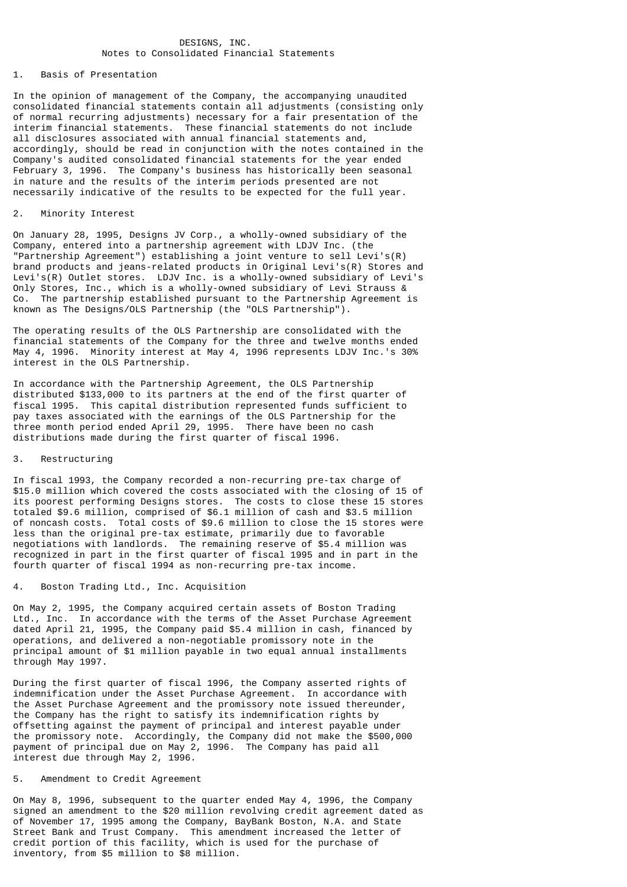## DESIGNS, INC. Notes to Consolidated Financial Statements

# 1. Basis of Presentation

In the opinion of management of the Company, the accompanying unaudited consolidated financial statements contain all adjustments (consisting only of normal recurring adjustments) necessary for a fair presentation of the interim financial statements. These financial statements do not include all disclosures associated with annual financial statements and, accordingly, should be read in conjunction with the notes contained in the Company's audited consolidated financial statements for the year ended February 3, 1996. The Company's business has historically been seasonal in nature and the results of the interim periods presented are not necessarily indicative of the results to be expected for the full year.

### 2. Minority Interest

On January 28, 1995, Designs JV Corp., a wholly-owned subsidiary of the Company, entered into a partnership agreement with LDJV Inc. (the "Partnership Agreement") establishing a joint venture to sell Levi's(R) brand products and jeans-related products in Original Levi's(R) Stores and Levi's(R) Outlet stores. LDJV Inc. is a wholly-owned subsidiary of Levi's Only Stores, Inc., which is a wholly-owned subsidiary of Levi Strauss & Co. The partnership established pursuant to the Partnership Agreement is known as The Designs/OLS Partnership (the "OLS Partnership").

The operating results of the OLS Partnership are consolidated with the financial statements of the Company for the three and twelve months ended May 4, 1996. Minority interest at May 4, 1996 represents LDJV Inc.'s 30% interest in the OLS Partnership.

In accordance with the Partnership Agreement, the OLS Partnership distributed \$133,000 to its partners at the end of the first quarter of fiscal 1995. This capital distribution represented funds sufficient to pay taxes associated with the earnings of the OLS Partnership for the three month period ended April 29, 1995. There have been no cash distributions made during the first quarter of fiscal 1996.

#### 3. Restructuring

In fiscal 1993, the Company recorded a non-recurring pre-tax charge of \$15.0 million which covered the costs associated with the closing of 15 of its poorest performing Designs stores. The costs to close these 15 stores totaled \$9.6 million, comprised of \$6.1 million of cash and \$3.5 million of noncash costs. Total costs of \$9.6 million to close the 15 stores were less than the original pre-tax estimate, primarily due to favorable negotiations with landlords. The remaining reserve of \$5.4 million was recognized in part in the first quarter of fiscal 1995 and in part in the fourth quarter of fiscal 1994 as non-recurring pre-tax income.

## 4. Boston Trading Ltd., Inc. Acquisition

On May 2, 1995, the Company acquired certain assets of Boston Trading Ltd., Inc. In accordance with the terms of the Asset Purchase Agreement dated April 21, 1995, the Company paid \$5.4 million in cash, financed by operations, and delivered a non-negotiable promissory note in the principal amount of \$1 million payable in two equal annual installments through May 1997.

During the first quarter of fiscal 1996, the Company asserted rights of indemnification under the Asset Purchase Agreement. In accordance with the Asset Purchase Agreement and the promissory note issued thereunder, the Company has the right to satisfy its indemnification rights by offsetting against the payment of principal and interest payable under the promissory note. Accordingly, the Company did not make the \$500,000 payment of principal due on May 2, 1996. The Company has paid all interest due through May 2, 1996.

## 5. Amendment to Credit Agreement

On May 8, 1996, subsequent to the quarter ended May 4, 1996, the Company signed an amendment to the \$20 million revolving credit agreement dated as of November 17, 1995 among the Company, BayBank Boston, N.A. and State Street Bank and Trust Company. This amendment increased the letter of credit portion of this facility, which is used for the purchase of inventory, from \$5 million to \$8 million.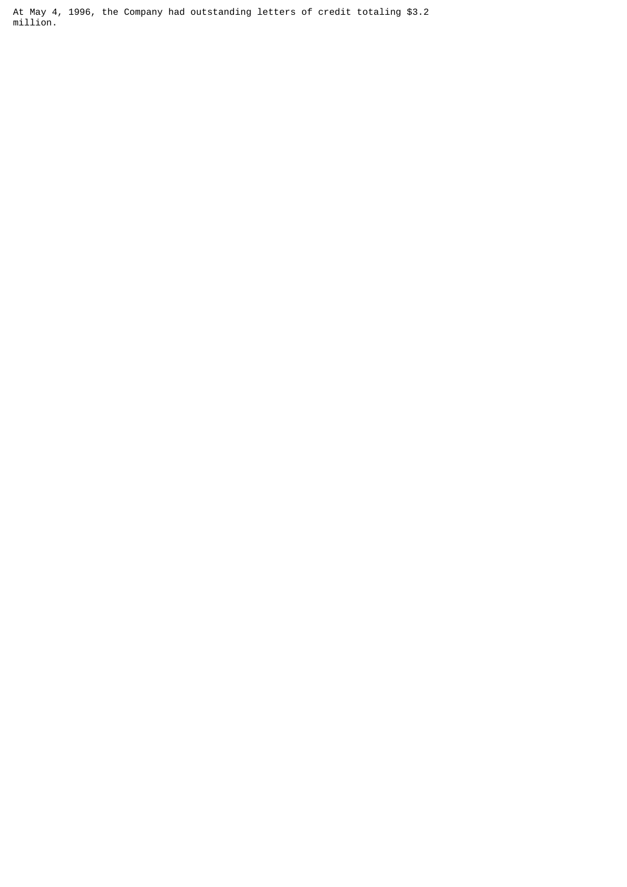At May 4, 1996, the Company had outstanding letters of credit totaling \$3.2 million.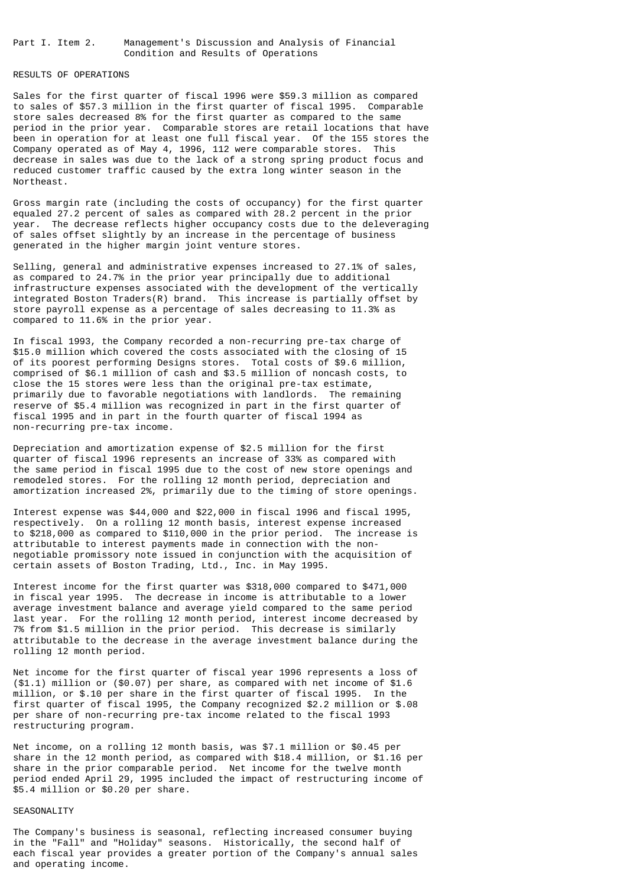Part I. Item 2. Management's Discussion and Analysis of Financial Condition and Results of Operations

# RESULTS OF OPERATIONS

Sales for the first quarter of fiscal 1996 were \$59.3 million as compared to sales of \$57.3 million in the first quarter of fiscal 1995. Comparable store sales decreased 8% for the first quarter as compared to the same period in the prior year. Comparable stores are retail locations that have been in operation for at least one full fiscal year. Of the 155 stores the Company operated as of May 4, 1996, 112 were comparable stores. This decrease in sales was due to the lack of a strong spring product focus and reduced customer traffic caused by the extra long winter season in the Northeast.

Gross margin rate (including the costs of occupancy) for the first quarter equaled 27.2 percent of sales as compared with 28.2 percent in the prior year. The decrease reflects higher occupancy costs due to the deleveraging of sales offset slightly by an increase in the percentage of business generated in the higher margin joint venture stores.

Selling, general and administrative expenses increased to 27.1% of sales, as compared to 24.7% in the prior year principally due to additional infrastructure expenses associated with the development of the vertically integrated Boston Traders(R) brand. This increase is partially offset by store payroll expense as a percentage of sales decreasing to 11.3% as compared to 11.6% in the prior year.

In fiscal 1993, the Company recorded a non-recurring pre-tax charge of \$15.0 million which covered the costs associated with the closing of 15 of its poorest performing Designs stores. Total costs of \$9.6 million, comprised of \$6.1 million of cash and \$3.5 million of noncash costs, to close the 15 stores were less than the original pre-tax estimate, primarily due to favorable negotiations with landlords. The remaining reserve of \$5.4 million was recognized in part in the first quarter of fiscal 1995 and in part in the fourth quarter of fiscal 1994 as non-recurring pre-tax income.

Depreciation and amortization expense of \$2.5 million for the first quarter of fiscal 1996 represents an increase of 33% as compared with the same period in fiscal 1995 due to the cost of new store openings and remodeled stores. For the rolling 12 month period, depreciation and amortization increased 2%, primarily due to the timing of store openings.

Interest expense was \$44,000 and \$22,000 in fiscal 1996 and fiscal 1995, respectively. On a rolling 12 month basis, interest expense increased to \$218,000 as compared to \$110,000 in the prior period. The increase is attributable to interest payments made in connection with the nonnegotiable promissory note issued in conjunction with the acquisition of certain assets of Boston Trading, Ltd., Inc. in May 1995.

Interest income for the first quarter was \$318,000 compared to \$471,000 in fiscal year 1995. The decrease in income is attributable to a lower average investment balance and average yield compared to the same period last year. For the rolling 12 month period, interest income decreased by 7% from \$1.5 million in the prior period. This decrease is similarly attributable to the decrease in the average investment balance during the rolling 12 month period.

Net income for the first quarter of fiscal year 1996 represents a loss of (\$1.1) million or (\$0.07) per share, as compared with net income of \$1.6 million, or \$.10 per share in the first quarter of fiscal 1995. In the first quarter of fiscal 1995, the Company recognized \$2.2 million or \$.08 per share of non-recurring pre-tax income related to the fiscal 1993 restructuring program.

Net income, on a rolling 12 month basis, was \$7.1 million or \$0.45 per share in the 12 month period, as compared with \$18.4 million, or \$1.16 per share in the prior comparable period. Net income for the twelve month period ended April 29, 1995 included the impact of restructuring income of \$5.4 million or \$0.20 per share.

## SEASONALITY

The Company's business is seasonal, reflecting increased consumer buying in the "Fall" and "Holiday" seasons. Historically, the second half of each fiscal year provides a greater portion of the Company's annual sales and operating income.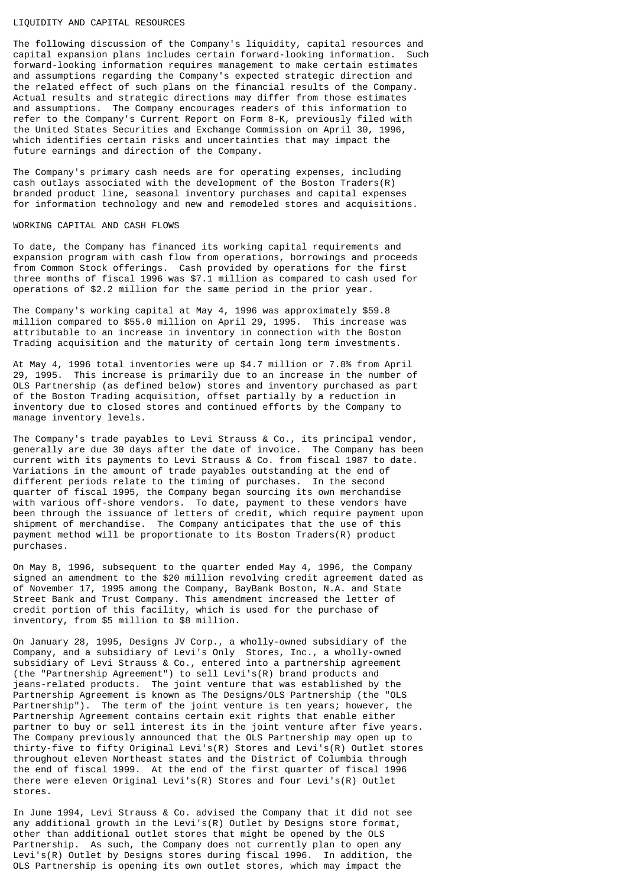#### LIQUIDITY AND CAPITAL RESOURCES

The following discussion of the Company's liquidity, capital resources and capital expansion plans includes certain forward-looking information. Such forward-looking information requires management to make certain estimates and assumptions regarding the Company's expected strategic direction and the related effect of such plans on the financial results of the Company. Actual results and strategic directions may differ from those estimates and assumptions. The Company encourages readers of this information to refer to the Company's Current Report on Form 8-K, previously filed with the United States Securities and Exchange Commission on April 30, 1996, which identifies certain risks and uncertainties that may impact the future earnings and direction of the Company.

The Company's primary cash needs are for operating expenses, including cash outlays associated with the development of the Boston Traders $(R)$ branded product line, seasonal inventory purchases and capital expenses for information technology and new and remodeled stores and acquisitions.

## WORKING CAPITAL AND CASH FLOWS

To date, the Company has financed its working capital requirements and expansion program with cash flow from operations, borrowings and proceeds from Common Stock offerings. Cash provided by operations for the first three months of fiscal 1996 was \$7.1 million as compared to cash used for operations of \$2.2 million for the same period in the prior year.

The Company's working capital at May 4, 1996 was approximately \$59.8 million compared to \$55.0 million on April 29, 1995. This increase was attributable to an increase in inventory in connection with the Boston Trading acquisition and the maturity of certain long term investments.

At May 4, 1996 total inventories were up \$4.7 million or 7.8% from April 29, 1995. This increase is primarily due to an increase in the number of OLS Partnership (as defined below) stores and inventory purchased as part of the Boston Trading acquisition, offset partially by a reduction in inventory due to closed stores and continued efforts by the Company to manage inventory levels.

The Company's trade payables to Levi Strauss & Co., its principal vendor, generally are due 30 days after the date of invoice. The Company has been current with its payments to Levi Strauss & Co. from fiscal 1987 to date. Variations in the amount of trade payables outstanding at the end of different periods relate to the timing of purchases. In the second quarter of fiscal 1995, the Company began sourcing its own merchandise with various off-shore vendors. To date, payment to these vendors have been through the issuance of letters of credit, which require payment upon shipment of merchandise. The Company anticipates that the use of this payment method will be proportionate to its Boston Traders(R) product purchases.

On May 8, 1996, subsequent to the quarter ended May 4, 1996, the Company signed an amendment to the \$20 million revolving credit agreement dated as of November 17, 1995 among the Company, BayBank Boston, N.A. and State Street Bank and Trust Company. This amendment increased the letter of credit portion of this facility, which is used for the purchase of inventory, from \$5 million to \$8 million.

On January 28, 1995, Designs JV Corp., a wholly-owned subsidiary of the Company, and a subsidiary of Levi's Only Stores, Inc., a wholly-owned subsidiary of Levi Strauss & Co., entered into a partnership agreement (the "Partnership Agreement") to sell Levi's(R) brand products and jeans-related products. The joint venture that was established by the Partnership Agreement is known as The Designs/OLS Partnership (the "OLS Partnership"). The term of the joint venture is ten years; however, the Partnership Agreement contains certain exit rights that enable either partner to buy or sell interest its in the joint venture after five years. The Company previously announced that the OLS Partnership may open up to thirty-five to fifty Original Levi's(R) Stores and Levi's(R) Outlet stores throughout eleven Northeast states and the District of Columbia through the end of fiscal 1999. At the end of the first quarter of fiscal 1996 there were eleven Original Levi's(R) Stores and four Levi's(R) Outlet stores.

In June 1994, Levi Strauss & Co. advised the Company that it did not see any additional growth in the Levi's(R) Outlet by Designs store format, other than additional outlet stores that might be opened by the OLS Partnership. As such, the Company does not currently plan to open any Levi's(R) Outlet by Designs stores during fiscal 1996. In addition, the OLS Partnership is opening its own outlet stores, which may impact the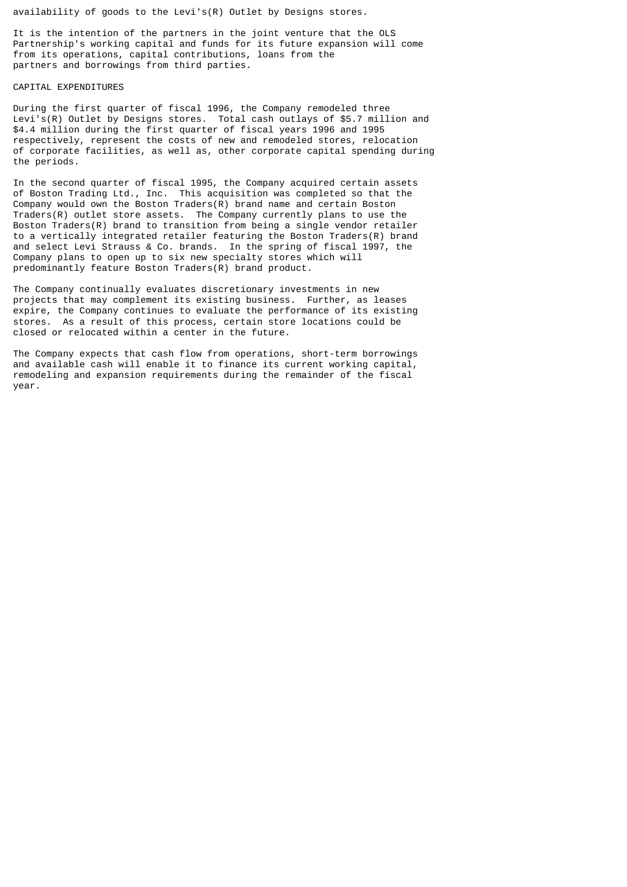availability of goods to the Levi's(R) Outlet by Designs stores.

It is the intention of the partners in the joint venture that the OLS Partnership's working capital and funds for its future expansion will come from its operations, capital contributions, loans from the partners and borrowings from third parties.

### CAPITAL EXPENDITURES

During the first quarter of fiscal 1996, the Company remodeled three Levi's(R) Outlet by Designs stores. Total cash outlays of \$5.7 million and \$4.4 million during the first quarter of fiscal years 1996 and 1995 respectively, represent the costs of new and remodeled stores, relocation of corporate facilities, as well as, other corporate capital spending during the periods.

In the second quarter of fiscal 1995, the Company acquired certain assets of Boston Trading Ltd., Inc. This acquisition was completed so that the Company would own the Boston Traders(R) brand name and certain Boston Traders(R) outlet store assets. The Company currently plans to use the Boston Traders(R) brand to transition from being a single vendor retailer to a vertically integrated retailer featuring the Boston Traders(R) brand and select Levi Strauss & Co. brands. In the spring of fiscal 1997, the Company plans to open up to six new specialty stores which will predominantly feature Boston Traders(R) brand product.

The Company continually evaluates discretionary investments in new projects that may complement its existing business. Further, as leases expire, the Company continues to evaluate the performance of its existing stores. As a result of this process, certain store locations could be closed or relocated within a center in the future.

The Company expects that cash flow from operations, short-term borrowings and available cash will enable it to finance its current working capital, remodeling and expansion requirements during the remainder of the fiscal year.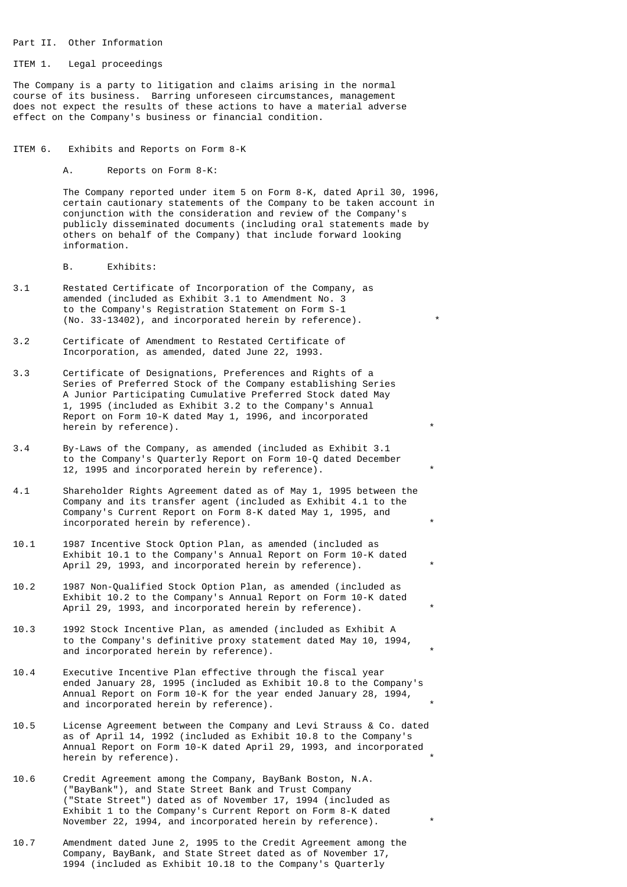#### Part II. Other Information

#### ITEM 1. Legal proceedings

The Company is a party to litigation and claims arising in the normal course of its business. Barring unforeseen circumstances, management does not expect the results of these actions to have a material adverse effect on the Company's business or financial condition.

ITEM 6. Exhibits and Reports on Form 8-K

A. Reports on Form 8-K:

 The Company reported under item 5 on Form 8-K, dated April 30, 1996, certain cautionary statements of the Company to be taken account in conjunction with the consideration and review of the Company's publicly disseminated documents (including oral statements made by others on behalf of the Company) that include forward looking information.

B. Exhibits:

- 3.1 Restated Certificate of Incorporation of the Company, as amended (included as Exhibit 3.1 to Amendment No. 3 to the Company's Registration Statement on Form S-1 (No. 33-13402), and incorporated herein by reference). \*
- 3.2 Certificate of Amendment to Restated Certificate of Incorporation, as amended, dated June 22, 1993.
- 3.3 Certificate of Designations, Preferences and Rights of a Series of Preferred Stock of the Company establishing Series A Junior Participating Cumulative Preferred Stock dated May 1, 1995 (included as Exhibit 3.2 to the Company's Annual Report on Form 10-K dated May 1, 1996, and incorporated herein by reference).
- 3.4 By-Laws of the Company, as amended (included as Exhibit 3.1 to the Company's Quarterly Report on Form 10-Q dated December 12, 1995 and incorporated herein by reference).
- 4.1 Shareholder Rights Agreement dated as of May 1, 1995 between the Company and its transfer agent (included as Exhibit 4.1 to the Company's Current Report on Form 8-K dated May 1, 1995, and incorporated herein by reference).
- 10.1 1987 Incentive Stock Option Plan, as amended (included as Exhibit 10.1 to the Company's Annual Report on Form 10-K dated April 29, 1993, and incorporated herein by reference).
- 10.2 1987 Non-Qualified Stock Option Plan, as amended (included as Exhibit 10.2 to the Company's Annual Report on Form 10-K dated April 29, 1993, and incorporated herein by reference).
- 10.3 1992 Stock Incentive Plan, as amended (included as Exhibit A to the Company's definitive proxy statement dated May 10, 1994, and incorporated herein by reference).
- 10.4 Executive Incentive Plan effective through the fiscal year ended January 28, 1995 (included as Exhibit 10.8 to the Company's Annual Report on Form 10-K for the year ended January 28, 1994, and incorporated herein by reference).
- 10.5 License Agreement between the Company and Levi Strauss & Co. dated as of April 14, 1992 (included as Exhibit 10.8 to the Company's Annual Report on Form 10-K dated April 29, 1993, and incorporated herein by reference).
- 10.6 Credit Agreement among the Company, BayBank Boston, N.A. ("BayBank"), and State Street Bank and Trust Company ("State Street") dated as of November 17, 1994 (included as Exhibit 1 to the Company's Current Report on Form 8-K dated November 22, 1994, and incorporated herein by reference).
- 10.7 Amendment dated June 2, 1995 to the Credit Agreement among the Company, BayBank, and State Street dated as of November 17, 1994 (included as Exhibit 10.18 to the Company's Quarterly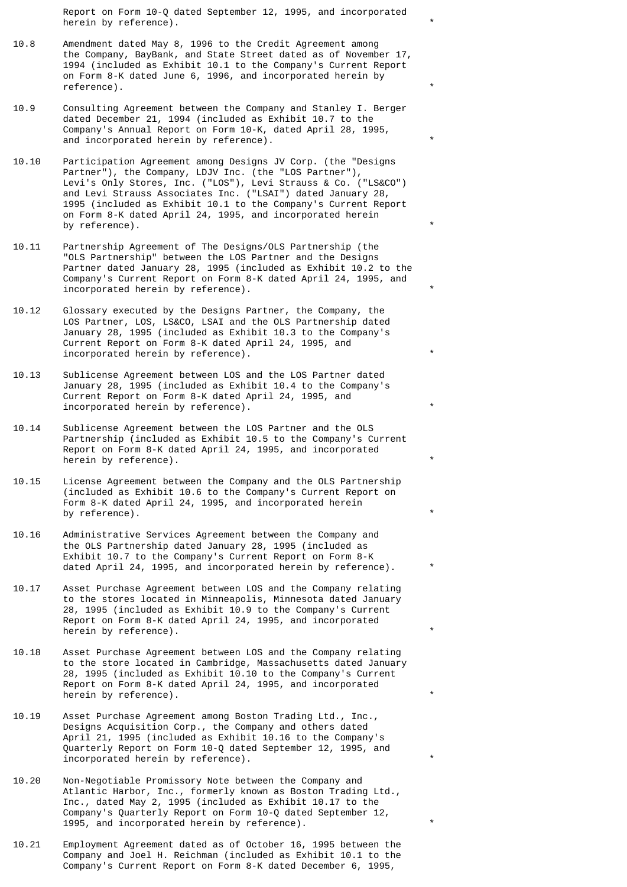Report on Form 10-Q dated September 12, 1995, and incorporated herein by reference).

- 10.8 Amendment dated May 8, 1996 to the Credit Agreement among the Company, BayBank, and State Street dated as of November 17, 1994 (included as Exhibit 10.1 to the Company's Current Report on Form 8-K dated June 6, 1996, and incorporated herein by reference).
- 10.9 Consulting Agreement between the Company and Stanley I. Berger dated December 21, 1994 (included as Exhibit 10.7 to the Company's Annual Report on Form 10-K, dated April 28, 1995, and incorporated herein by reference).
- 10.10 Participation Agreement among Designs JV Corp. (the "Designs Partner"), the Company, LDJV Inc. (the "LOS Partner"), Levi's Only Stores, Inc. ("LOS"), Levi Strauss & Co. ("LS&CO") and Levi Strauss Associates Inc. ("LSAI") dated January 28, 1995 (included as Exhibit 10.1 to the Company's Current Report on Form 8-K dated April 24, 1995, and incorporated herein by reference).
- 10.11 Partnership Agreement of The Designs/OLS Partnership (the "OLS Partnership" between the LOS Partner and the Designs Partner dated January 28, 1995 (included as Exhibit 10.2 to the Company's Current Report on Form 8-K dated April 24, 1995, and incorporated herein by reference).
- 10.12 Glossary executed by the Designs Partner, the Company, the LOS Partner, LOS, LS&CO, LSAI and the OLS Partnership dated January 28, 1995 (included as Exhibit 10.3 to the Company's Current Report on Form 8-K dated April 24, 1995, and incorporated herein by reference).
- 10.13 Sublicense Agreement between LOS and the LOS Partner dated January 28, 1995 (included as Exhibit 10.4 to the Company's Current Report on Form 8-K dated April 24, 1995, and incorporated herein by reference).
- 10.14 Sublicense Agreement between the LOS Partner and the OLS Partnership (included as Exhibit 10.5 to the Company's Current Report on Form 8-K dated April 24, 1995, and incorporated herein by reference).
- 10.15 License Agreement between the Company and the OLS Partnership (included as Exhibit 10.6 to the Company's Current Report on Form 8-K dated April 24, 1995, and incorporated herein by reference).
- 10.16 Administrative Services Agreement between the Company and the OLS Partnership dated January 28, 1995 (included as Exhibit 10.7 to the Company's Current Report on Form 8-K dated April 24, 1995, and incorporated herein by reference).
- 10.17 Asset Purchase Agreement between LOS and the Company relating to the stores located in Minneapolis, Minnesota dated January 28, 1995 (included as Exhibit 10.9 to the Company's Current Report on Form 8-K dated April 24, 1995, and incorporated herein by reference).
- 10.18 Asset Purchase Agreement between LOS and the Company relating to the store located in Cambridge, Massachusetts dated January 28, 1995 (included as Exhibit 10.10 to the Company's Current Report on Form 8-K dated April 24, 1995, and incorporated herein by reference).
- 10.19 Asset Purchase Agreement among Boston Trading Ltd., Inc., Designs Acquisition Corp., the Company and others dated April 21, 1995 (included as Exhibit 10.16 to the Company's Quarterly Report on Form 10-Q dated September 12, 1995, and incorporated herein by reference).
- 10.20 Non-Negotiable Promissory Note between the Company and Atlantic Harbor, Inc., formerly known as Boston Trading Ltd., Inc., dated May 2, 1995 (included as Exhibit 10.17 to the Company's Quarterly Report on Form 10-Q dated September 12, 1995, and incorporated herein by reference). \*
- 10.21 Employment Agreement dated as of October 16, 1995 between the Company and Joel H. Reichman (included as Exhibit 10.1 to the Company's Current Report on Form 8-K dated December 6, 1995,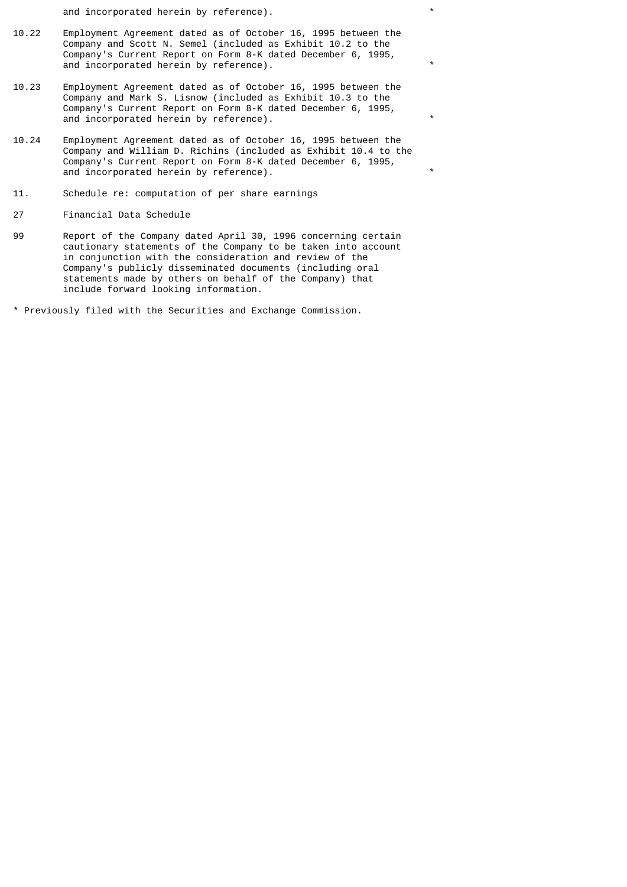and incorporated herein by reference). \*

- 10.22 Employment Agreement dated as of October 16, 1995 between the Company and Scott N. Semel (included as Exhibit 10.2 to the Company's Current Report on Form 8-K dated December 6, 1995, and incorporated herein by reference).
- 10.23 Employment Agreement dated as of October 16, 1995 between the Company and Mark S. Lisnow (included as Exhibit 10.3 to the Company's Current Report on Form 8-K dated December 6, 1995, and incorporated herein by reference).
- 10.24 Employment Agreement dated as of October 16, 1995 between the Company and William D. Richins (included as Exhibit 10.4 to the Company's Current Report on Form 8-K dated December 6, 1995, and incorporated herein by reference).
- 11. Schedule re: computation of per share earnings
- 27 Financial Data Schedule
- 99 Report of the Company dated April 30, 1996 concerning certain cautionary statements of the Company to be taken into account in conjunction with the consideration and review of the Company's publicly disseminated documents (including oral statements made by others on behalf of the Company) that include forward looking information.
- \* Previously filed with the Securities and Exchange Commission.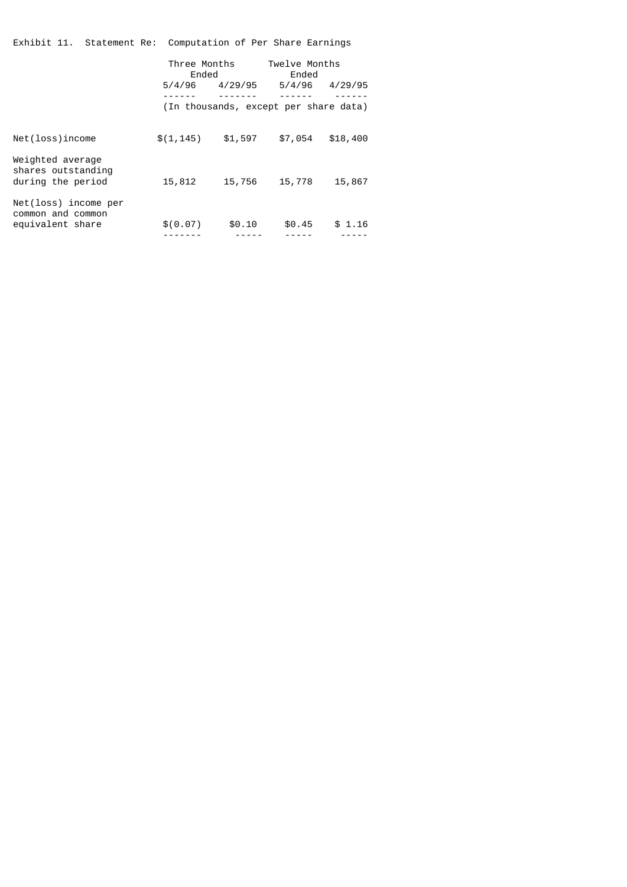Exhibit 11. Statement Re: Computation of Per Share Earnings

|                                                               | Three Months<br>Ended<br>5/4/96 | 4/29/95 | Twelve Months<br>Ended<br>5/4/96<br>(In thousands, except per share data) | 4/29/95  |
|---------------------------------------------------------------|---------------------------------|---------|---------------------------------------------------------------------------|----------|
| Net(loss)income                                               | \$(1, 145)                      | \$1,597 | \$7,054                                                                   | \$18,400 |
| Weighted average<br>shares outstanding<br>during the period   | 15,812                          | 15,756  | 15,778                                                                    | 15,867   |
| Net(loss) income per<br>common and common<br>equivalent share | \$(0.07)                        | \$0.10  | \$0.45                                                                    | \$1.16   |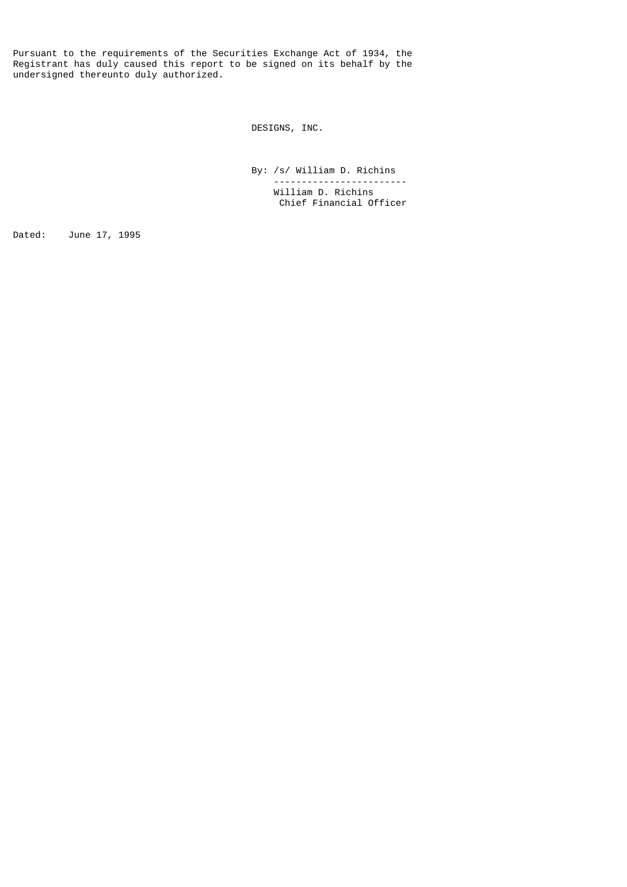Pursuant to the requirements of the Securities Exchange Act of 1934, the Registrant has duly caused this report to be signed on its behalf by the undersigned thereunto duly authorized.

DESIGNS, INC.

 By: /s/ William D. Richins ------------------------ William D. Richins Chief Financial Officer

Dated: June 17, 1995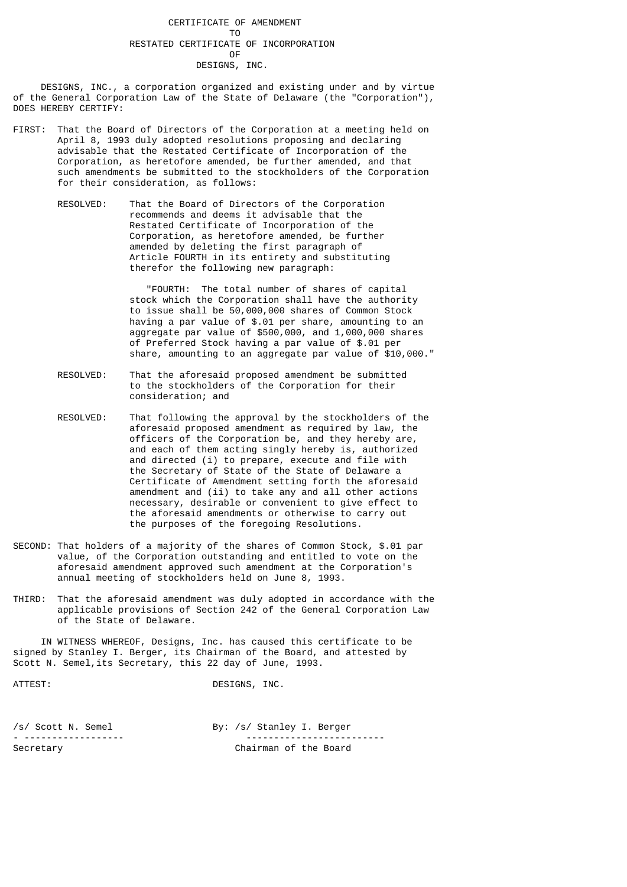## CERTIFICATE OF AMENDMENT TO RESTATED CERTIFICATE OF INCORPORATION **OF OF** DESIGNS, INC.

 DESIGNS, INC., a corporation organized and existing under and by virtue of the General Corporation Law of the State of Delaware (the "Corporation"), DOES HEREBY CERTIFY:

- FIRST: That the Board of Directors of the Corporation at a meeting held on April 8, 1993 duly adopted resolutions proposing and declaring advisable that the Restated Certificate of Incorporation of the Corporation, as heretofore amended, be further amended, and that such amendments be submitted to the stockholders of the Corporation for their consideration, as follows:
	- RESOLVED: That the Board of Directors of the Corporation recommends and deems it advisable that the Restated Certificate of Incorporation of the Corporation, as heretofore amended, be further amended by deleting the first paragraph of Article FOURTH in its entirety and substituting therefor the following new paragraph:

 "FOURTH: The total number of shares of capital stock which the Corporation shall have the authority to issue shall be 50,000,000 shares of Common Stock having a par value of \$.01 per share, amounting to an aggregate par value of \$500,000, and 1,000,000 shares of Preferred Stock having a par value of \$.01 per share, amounting to an aggregate par value of \$10,000."

- RESOLVED: That the aforesaid proposed amendment be submitted to the stockholders of the Corporation for their consideration; and
- RESOLVED: That following the approval by the stockholders of the aforesaid proposed amendment as required by law, the officers of the Corporation be, and they hereby are, and each of them acting singly hereby is, authorized and directed (i) to prepare, execute and file with the Secretary of State of the State of Delaware a Certificate of Amendment setting forth the aforesaid amendment and (ii) to take any and all other actions necessary, desirable or convenient to give effect to the aforesaid amendments or otherwise to carry out the purposes of the foregoing Resolutions.
- SECOND: That holders of a majority of the shares of Common Stock, \$.01 par value, of the Corporation outstanding and entitled to vote on the aforesaid amendment approved such amendment at the Corporation's annual meeting of stockholders held on June 8, 1993.
- THIRD: That the aforesaid amendment was duly adopted in accordance with the applicable provisions of Section 242 of the General Corporation Law of the State of Delaware.

 IN WITNESS WHEREOF, Designs, Inc. has caused this certificate to be signed by Stanley I. Berger, its Chairman of the Board, and attested by Scott N. Semel, its Secretary, this 22 day of June, 1993.

| I |
|---|
|---|

DESIGNS, INC.

/s/ Scott N. Semel By: /s/ Stanley I. Berger - ------------------ ------------------------- Chairman of the Board